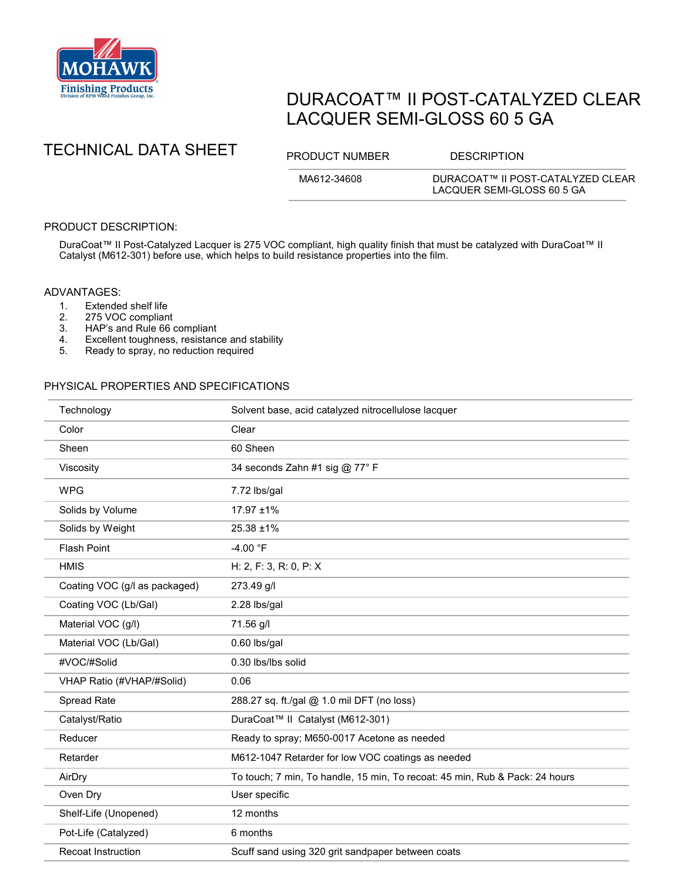

# DURACOAT™ II POST-CATALYZED CLEAR LACQUER SEMI-GLOSS 60 5 GA



MA612-34608 DURACOAT™ II POST-CATALYZED CLEAR LACQUER SEMI-GLOSS 60 5 GA

## PRODUCT DESCRIPTION:

DuraCoat™ II Post-Catalyzed Lacquer is 275 VOC compliant, high quality finish that must be catalyzed with DuraCoat™ II Catalyst (M612-301) before use, which helps to build resistance properties into the film.

#### ADVANTAGES:

- 
- 1. Extended shelf life<br>2. 275 VOC complian
- 2. 275 VOC compliant<br>3. HAP's and Rule 66 HAP's and Rule 66 compliant
- 4. Excellent toughness, resistance and stability<br>5. Ready to spray, no reduction required
- Ready to spray, no reduction required

## PHYSICAL PROPERTIES AND SPECIFICATIONS

| Technology                    | Solvent base, acid catalyzed nitrocellulose lacquer                         |
|-------------------------------|-----------------------------------------------------------------------------|
| Color                         | Clear                                                                       |
| Sheen                         | 60 Sheen                                                                    |
| Viscosity                     | 34 seconds Zahn #1 sig @ 77° F                                              |
| <b>WPG</b>                    | 7.72 lbs/gal                                                                |
| Solids by Volume              | 17.97 ±1%                                                                   |
| Solids by Weight              | 25.38 ±1%                                                                   |
| <b>Flash Point</b>            | $-4.00 °F$                                                                  |
| <b>HMIS</b>                   | H: 2, F: 3, R: 0, P: X                                                      |
| Coating VOC (g/l as packaged) | 273.49 g/l                                                                  |
| Coating VOC (Lb/Gal)          | 2.28 lbs/gal                                                                |
| Material VOC (g/l)            | 71.56 g/l                                                                   |
| Material VOC (Lb/Gal)         | 0.60 lbs/gal                                                                |
| #VOC/#Solid                   | 0.30 lbs/lbs solid                                                          |
| VHAP Ratio (#VHAP/#Solid)     | 0.06                                                                        |
| Spread Rate                   | 288.27 sq. ft./gal @ 1.0 mil DFT (no loss)                                  |
| Catalyst/Ratio                | DuraCoat™ II Catalyst (M612-301)                                            |
| Reducer                       | Ready to spray; M650-0017 Acetone as needed                                 |
| Retarder                      | M612-1047 Retarder for low VOC coatings as needed                           |
| AirDry                        | To touch; 7 min, To handle, 15 min, To recoat: 45 min, Rub & Pack: 24 hours |
| Oven Dry                      | User specific                                                               |
| Shelf-Life (Unopened)         | 12 months                                                                   |
| Pot-Life (Catalyzed)          | 6 months                                                                    |
| <b>Recoat Instruction</b>     | Scuff sand using 320 grit sandpaper between coats                           |